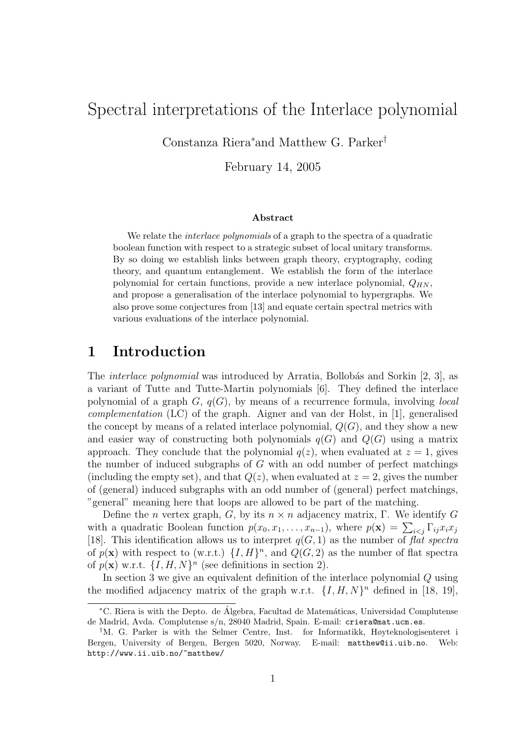# Spectral interpretations of the Interlace polynomial

Constanza Riera<sup>∗</sup>and Matthew G. Parker†

February 14, 2005

#### Abstract

We relate the *interlace polynomials* of a graph to the spectra of a quadratic boolean function with respect to a strategic subset of local unitary transforms. By so doing we establish links between graph theory, cryptography, coding theory, and quantum entanglement. We establish the form of the interlace polynomial for certain functions, provide a new interlace polynomial,  $Q_{HN}$ , and propose a generalisation of the interlace polynomial to hypergraphs. We also prove some conjectures from [13] and equate certain spectral metrics with various evaluations of the interlace polynomial.

### 1 Introduction

The *interlace polynomial* was introduced by Arratia, Bollobás and Sorkin  $[2, 3]$ , as a variant of Tutte and Tutte-Martin polynomials [6]. They defined the interlace polynomial of a graph  $G, q(G)$ , by means of a recurrence formula, involving *local* complementation (LC) of the graph. Aigner and van der Holst, in [1], generalised the concept by means of a related interlace polynomial,  $Q(G)$ , and they show a new and easier way of constructing both polynomials  $q(G)$  and  $Q(G)$  using a matrix approach. They conclude that the polynomial  $q(z)$ , when evaluated at  $z = 1$ , gives the number of induced subgraphs of  $G$  with an odd number of perfect matchings (including the empty set), and that  $Q(z)$ , when evaluated at  $z = 2$ , gives the number of (general) induced subgraphs with an odd number of (general) perfect matchings, "general" meaning here that loops are allowed to be part of the matching.

Define the *n* vertex graph, G, by its  $n \times n$  adjacency matrix, Γ. We identify G with a quadratic Boolean function  $p(x_0, x_1, \ldots, x_{n-1})$ , where  $p(\mathbf{x}) = \sum_{i \leq j} \Gamma_{ij} x_i x_j$ [18]. This identification allows us to interpret  $q(G, 1)$  as the number of flat spectra of  $p(\mathbf{x})$  with respect to (w.r.t.)  $\{I, H\}^n$ , and  $Q(G, 2)$  as the number of flat spectra of  $p(\mathbf{x})$  w.r.t.  $\{I, H, N\}^n$  (see definitions in section 2).

In section 3 we give an equivalent definition of the interlace polynomial Q using the modified adjacency matrix of the graph w.r.t.  $\{I, H, N\}^n$  defined in [18, 19],

<sup>∗</sup>C. Riera is with the Depto. de Algebra, Facultad de Matem´aticas, Universidad Complutense ´ de Madrid, Avda. Complutense s/n, 28040 Madrid, Spain. E-mail: criera@mat.ucm.es.

<sup>†</sup>M. G. Parker is with the Selmer Centre, Inst. for Informatikk, Høyteknologisenteret i Bergen, University of Bergen, Bergen 5020, Norway. E-mail: matthew@ii.uib.no. Web: http://www.ii.uib.no/~matthew/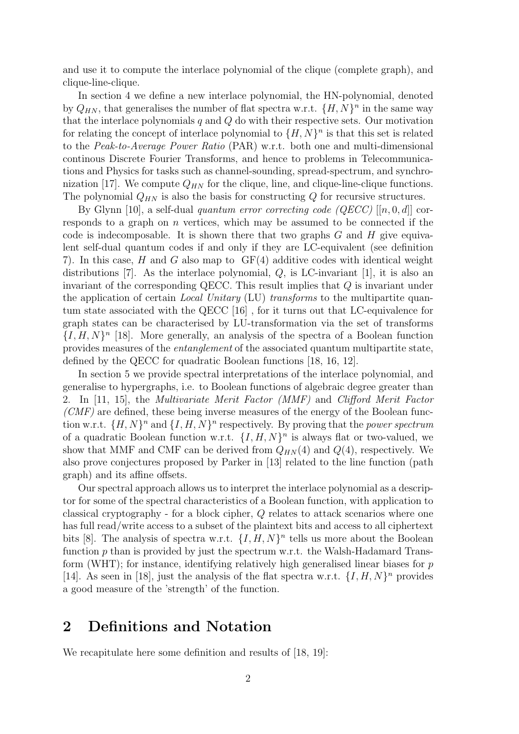and use it to compute the interlace polynomial of the clique (complete graph), and clique-line-clique.

In section 4 we define a new interlace polynomial, the HN-polynomial, denoted by  $Q_{HN}$ , that generalises the number of flat spectra w.r.t.  $\{H, N\}^n$  in the same way that the interlace polynomials  $q$  and  $Q$  do with their respective sets. Our motivation for relating the concept of interlace polynomial to  $\{H, N\}^n$  is that this set is related to the Peak-to-Average Power Ratio (PAR) w.r.t. both one and multi-dimensional continous Discrete Fourier Transforms, and hence to problems in Telecommunications and Physics for tasks such as channel-sounding, spread-spectrum, and synchronization [17]. We compute  $Q_{HN}$  for the clique, line, and clique-line-clique functions. The polynomial  $Q_{HN}$  is also the basis for constructing  $Q$  for recursive structures.

By Glynn [10], a self-dual quantum error correcting code (QECC)  $[[n, 0, d]]$  corresponds to a graph on  $n$  vertices, which may be assumed to be connected if the code is indecomposable. It is shown there that two graphs  $G$  and  $H$  give equivalent self-dual quantum codes if and only if they are LC-equivalent (see definition 7). In this case, H and G also map to GF(4) additive codes with identical weight distributions [7]. As the interlace polynomial,  $Q$ , is LC-invariant [1], it is also an invariant of the corresponding QECC. This result implies that Q is invariant under the application of certain *Local Unitary* (LU) transforms to the multipartite quantum state associated with the QECC [16] , for it turns out that LC-equivalence for graph states can be characterised by LU-transformation via the set of transforms  $\{I, H, N\}^n$  [18]. More generally, an analysis of the spectra of a Boolean function provides measures of the entanglement of the associated quantum multipartite state, defined by the QECC for quadratic Boolean functions [18, 16, 12].

In section 5 we provide spectral interpretations of the interlace polynomial, and generalise to hypergraphs, i.e. to Boolean functions of algebraic degree greater than 2. In [11, 15], the Multivariate Merit Factor (MMF) and Clifford Merit Factor  $(CMF)$  are defined, these being inverse measures of the energy of the Boolean function w.r.t.  $\{H, N\}^n$  and  $\{I, H, N\}^n$  respectively. By proving that the *power spectrum* of a quadratic Boolean function w.r.t.  $\{I, H, N\}^n$  is always flat or two-valued, we show that MMF and CMF can be derived from  $Q_{HN}(4)$  and  $Q(4)$ , respectively. We also prove conjectures proposed by Parker in [13] related to the line function (path graph) and its affine offsets.

Our spectral approach allows us to interpret the interlace polynomial as a descriptor for some of the spectral characteristics of a Boolean function, with application to classical cryptography - for a block cipher, Q relates to attack scenarios where one has full read/write access to a subset of the plaintext bits and access to all ciphertext bits [8]. The analysis of spectra w.r.t.  $\{I, H, N\}^n$  tells us more about the Boolean function  $p$  than is provided by just the spectrum w.r.t. the Walsh-Hadamard Transform (WHT); for instance, identifying relatively high generalised linear biases for  $p$ [14]. As seen in [18], just the analysis of the flat spectra w.r.t.  $\{I, H, N\}^n$  provides a good measure of the 'strength' of the function.

# 2 Definitions and Notation

We recapitulate here some definition and results of [18, 19]: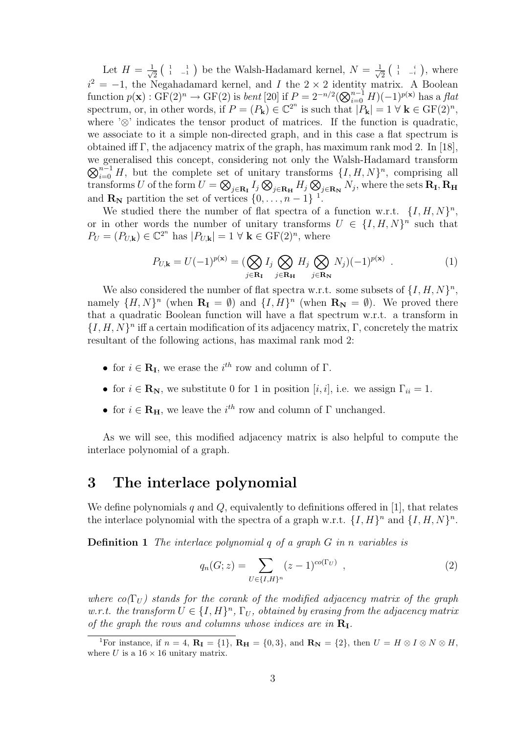Let  $H = \frac{1}{\sqrt{2}}$  $\frac{1}{2}$  ( $\frac{1}{1}$   $\frac{1}{-1}$ ) be the Walsh-Hadamard kernel,  $N = \frac{1}{\sqrt{2}}$  $\frac{1}{2}$   $\begin{pmatrix} 1 & i \\ 1 & -i \end{pmatrix}$ , where  $i^2 = -1$ , the Negahadamard kernel, and I the 2 × 2 identity matrix. A Boolean function  $p(\mathbf{x}):$  GF(2)<sup>n</sup>  $\to$  GF(2) is *bent* [20] if  $P = 2^{-n/2} (\bigotimes_{i=0}^{n-1} H)(-1)^{p(\mathbf{x})}$  has a *flat* spectrum, or, in other words, if  $P = (P_{\mathbf{k}}) \in \mathbb{C}^{2^n}$  is such that  $|P_{\mathbf{k}}| = 1 \forall \mathbf{k} \in \mathrm{GF}(2)^n$ , where '⊗' indicates the tensor product of matrices. If the function is quadratic, we associate to it a simple non-directed graph, and in this case a flat spectrum is obtained iff Γ, the adjacency matrix of the graph, has maximum rank mod 2. In [18], we generalised this concept, considering not only the Walsh-Hadamard transform  $\bigotimes_{i=0}^{n-1} H$ , but the complete set of unitary transforms  $\{I, H, N\}^n$ , comprising all transforms  $U$  of the form  $U=\bigotimes_{j\in \mathbf{R_{I}}}I_{j}\bigotimes_{j\in \mathbf{R_{H}}}H_{j}\bigotimes_{j\in \mathbf{R_{N}}}N_{j},$  where the sets  $\mathbf{R_{I}},\mathbf{R_{H}}$ and  $\mathbf{R}_{N}$  partition the set of vertices  $\{0, \ldots, n-1\}$ <sup>1</sup>.

We studied there the number of flat spectra of a function w.r.t.  $\{I, H, N\}^n$ , or in other words the number of unitary transforms  $U \in \{I, H, N\}^n$  such that  $P_U = (P_{U,\mathbf{k}}) \in \mathbb{C}^{2^n}$  has  $|P_{U,\mathbf{k}}| = 1 \ \forall \ \mathbf{k} \in \mathrm{GF}(2)^n$ , where

$$
P_{U,\mathbf{k}} = U(-1)^{p(\mathbf{x})} = \left(\bigotimes_{j \in \mathbf{R}_{\mathbf{I}}} I_j \bigotimes_{j \in \mathbf{R}_{\mathbf{H}}} H_j \bigotimes_{j \in \mathbf{R}_{\mathbf{N}}} N_j\right)(-1)^{p(\mathbf{x})} . \tag{1}
$$

We also considered the number of flat spectra w.r.t. some subsets of  $\{I, H, N\}^n$ , namely  $\{H, N\}^n$  (when  $\mathbf{R}_{\mathbf{I}} = \emptyset$ ) and  $\{I, H\}^n$  (when  $\mathbf{R}_{\mathbf{N}} = \emptyset$ ). We proved there that a quadratic Boolean function will have a flat spectrum w.r.t. a transform in  $\{I, H, N\}^n$  iff a certain modification of its adjacency matrix,  $\Gamma$ , concretely the matrix resultant of the following actions, has maximal rank mod 2:

- for  $i \in \mathbf{R}_{\mathbf{I}}$ , we erase the  $i^{th}$  row and column of  $\Gamma$ .
- for  $i \in \mathbf{R}_{N}$ , we substitute 0 for 1 in position [i, i], i.e. we assign  $\Gamma_{ii} = 1$ .
- for  $i \in \mathbf{R}_{\mathbf{H}}$ , we leave the  $i^{th}$  row and column of  $\Gamma$  unchanged.

As we will see, this modified adjacency matrix is also helpful to compute the interlace polynomial of a graph.

### 3 The interlace polynomial

We define polynomials q and  $Q$ , equivalently to definitions offered in [1], that relates the interlace polynomial with the spectra of a graph w.r.t.  $\{I, H\}^n$  and  $\{I, H, N\}^n$ .

**Definition 1** The interlace polynomial  $q$  of a graph  $G$  in n variables is

$$
q_n(G; z) = \sum_{U \in \{I, H\}^n} (z - 1)^{co(\Gamma_U)}, \qquad (2)
$$

where  $co(\Gamma_{U})$  stands for the corank of the modified adjacency matrix of the graph w.r.t. the transform  $U \in \{I, H\}^n$ ,  $\Gamma_U$ , obtained by erasing from the adjacency matrix of the graph the rows and columns whose indices are in  $\mathbf{R}_{\text{I}}$ .

<sup>&</sup>lt;sup>1</sup>For instance, if  $n = 4$ ,  $\mathbf{R}_{I} = \{1\}$ ,  $\mathbf{R}_{H} = \{0, 3\}$ , and  $\mathbf{R}_{N} = \{2\}$ , then  $U = H \otimes I \otimes N \otimes H$ , where U is a  $16 \times 16$  unitary matrix.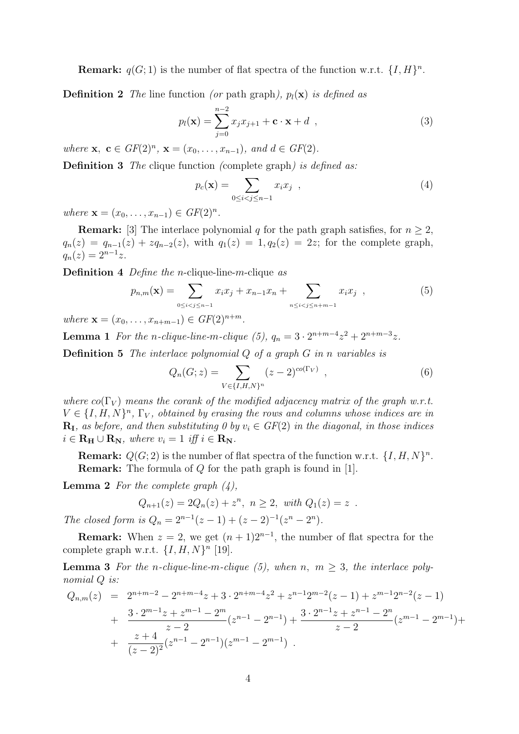**Remark:**  $q(G; 1)$  is the number of flat spectra of the function w.r.t.  $\{I, H\}^n$ .

**Definition 2** The line function (or path graph),  $p_l(\mathbf{x})$  is defined as

$$
p_l(\mathbf{x}) = \sum_{j=0}^{n-2} x_j x_{j+1} + \mathbf{c} \cdot \mathbf{x} + d \quad , \tag{3}
$$

where  $\mathbf{x}, \ \mathbf{c} \in GF(2)^n, \ \mathbf{x} = (x_0, \ldots, x_{n-1}), \ and \ d \in GF(2).$ 

Definition 3 The clique function (complete graph) is defined as:

$$
p_c(\mathbf{x}) = \sum_{0 \le i < j \le n-1} x_i x_j \quad , \tag{4}
$$

where  $\mathbf{x} = (x_0, \dots, x_{n-1}) \in GF(2)^n$ .

**Remark:** [3] The interlace polynomial q for the path graph satisfies, for  $n \geq 2$ ,  $q_n(z) = q_{n-1}(z) + zq_{n-2}(z)$ , with  $q_1(z) = 1, q_2(z) = 2z$ ; for the complete graph,  $q_n(z) = 2^{n-1}z.$ 

Definition 4 *Define the n*-clique-line-m-clique as

$$
p_{n,m}(\mathbf{x}) = \sum_{0 \le i < j \le n-1} x_i x_j + x_{n-1} x_n + \sum_{n \le i < j \le n+m-1} x_i x_j \quad , \tag{5}
$$

where  $\mathbf{x} = (x_0, \ldots, x_{n+m-1}) \in GF(2)^{n+m}$ .

**Lemma 1** For the n-clique-line-m-clique (5),  $q_n = 3 \cdot 2^{n+m-4}z^2 + 2^{n+m-3}z$ .

Definition 5 The interlace polynomial Q of a graph G in n variables is

$$
Q_n(G; z) = \sum_{V \in \{I, H, N\}^n} (z - 2)^{co(\Gamma_V)}, \qquad (6)
$$

where  $co(\Gamma_V)$  means the corank of the modified adjacency matrix of the graph w.r.t.  $V \in \{I, H, N\}^n$ ,  $\Gamma_V$ , obtained by erasing the rows and columns whose indices are in  $\mathbf{R}_{\mathbf{I}}$ , as before, and then substituting 0 by  $v_i \in GF(2)$  in the diagonal, in those indices  $i \in \mathbf{R}_{\mathbf{H}} \cup \mathbf{R}_{\mathbf{N}}$ , where  $v_i = 1$  iff  $i \in \mathbf{R}_{\mathbf{N}}$ .

**Remark:**  $Q(G; 2)$  is the number of flat spectra of the function w.r.t.  $\{I, H, N\}^n$ . Remark: The formula of Q for the path graph is found in [1].

**Lemma 2** For the complete graph  $(4)$ ,

$$
Q_{n+1}(z) = 2Q_n(z) + z^n, \ n \ge 2, \ with \ Q_1(z) = z .
$$

The closed form is  $Q_n = 2^{n-1}(z-1) + (z-2)^{-1}(z^n - 2^n)$ .

**Remark:** When  $z = 2$ , we get  $(n + 1)2^{n-1}$ , the number of flat spectra for the complete graph w.r.t.  $\{I, H, N\}^n$  [19].

**Lemma 3** For the n-clique-line-m-clique (5), when n,  $m \geq 3$ , the interlace polynomial  $Q$  is:

$$
Q_{n,m}(z) = 2^{n+m-2} - 2^{n+m-4}z + 3 \cdot 2^{n+m-4}z^2 + z^{n-1}2^{m-2}(z-1) + z^{m-1}2^{n-2}(z-1)
$$
  
+ 
$$
\frac{3 \cdot 2^{m-1}z + z^{m-1} - 2^m}{z-2}(z^{n-1} - 2^{n-1}) + \frac{3 \cdot 2^{n-1}z + z^{n-1} - 2^n}{z-2}(z^{m-1} - 2^{m-1}) + \frac{z+4}{(z-2)^2}(z^{n-1} - 2^{n-1})(z^{m-1} - 2^{m-1}).
$$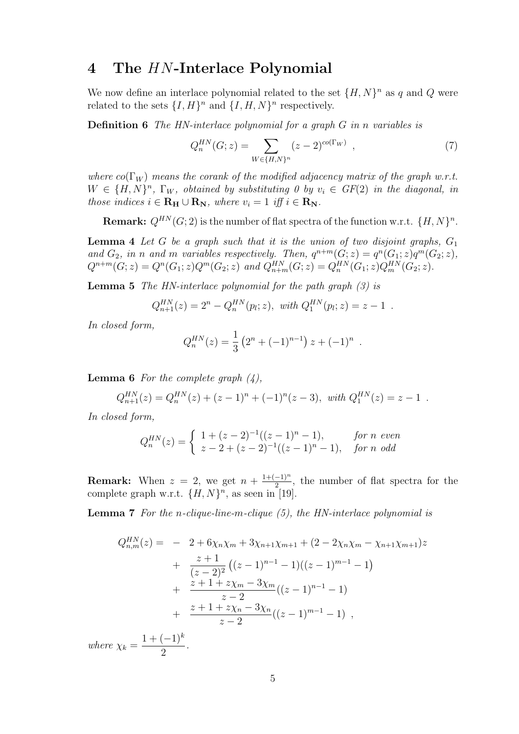### 4 The HN-Interlace Polynomial

We now define an interlace polynomial related to the set  $\{H, N\}^n$  as q and Q were related to the sets  $\{I, H\}^n$  and  $\{I, H, N\}^n$  respectively.

Definition 6 The HN-interlace polynomial for a graph G in n variables is

$$
Q_n^{HN}(G; z) = \sum_{W \in \{H, N\}^n} (z - 2)^{co(\Gamma_W)}, \qquad (7)
$$

where  $co(\Gamma_W)$  means the corank of the modified adjacency matrix of the graph w.r.t.  $W \in \{H, N\}^n$ ,  $\Gamma_W$ , obtained by substituting 0 by  $v_i \in GF(2)$  in the diagonal, in those indices  $i \in \mathbf{R_H} \cup \mathbf{R_N}$ , where  $v_i = 1$  iff  $i \in \mathbf{R_N}$ .

**Remark:**  $Q^{HN}(G; 2)$  is the number of flat spectra of the function w.r.t.  $\{H, N\}^n$ .

**Lemma 4** Let G be a graph such that it is the union of two disjoint graphs,  $G_1$ and  $G_2$ , in n and m variables respectively. Then,  $q^{n+m}(G; z) = q^n(G_1; z)q^m(G_2; z)$ ,  $Q^{n+m}(G; z) = Q^n(G_1; z)Q^m(G_2; z)$  and  $Q_{n+m}^{HN}(G; z) = Q_n^{HN}(G_1; z)Q_m^{HN}(G_2; z)$ .

**Lemma 5** The HN-interlace polynomial for the path graph  $(3)$  is

$$
Q_{n+1}^{HN}(z) = 2^n - Q_n^{HN}(p_i; z), \text{ with } Q_1^{HN}(p_i; z) = z - 1.
$$

In closed form,

$$
Q_n^{HN}(z) = \frac{1}{3} \left( 2^n + (-1)^{n-1} \right) z + (-1)^n .
$$

**Lemma 6** For the complete graph  $(4)$ ,

$$
Q_{n+1}^{HN}(z) = Q_n^{HN}(z) + (z-1)^n + (-1)^n(z-3), \text{ with } Q_1^{HN}(z) = z-1.
$$

In closed form,

$$
Q_n^{HN}(z) = \begin{cases} 1 + (z-2)^{-1}((z-1)^n - 1), & \text{for } n \text{ even} \\ z - 2 + (z-2)^{-1}((z-1)^n - 1), & \text{for } n \text{ odd} \end{cases}
$$

**Remark:** When  $z = 2$ , we get  $n + \frac{1+(-1)^n}{2}$  $\frac{-1}{2}$ , the number of flat spectra for the complete graph w.r.t.  $\{H, N\}^n$ , as seen in [19].

**Lemma 7** For the n-clique-line-m-clique  $(5)$ , the HN-interlace polynomial is

$$
Q_{n,m}^{HN}(z) = -2 + 6\chi_n\chi_m + 3\chi_{n+1}\chi_{m+1} + (2 - 2\chi_n\chi_m - \chi_{n+1}\chi_{m+1})z
$$
  
+ 
$$
\frac{z+1}{(z-2)^2} ((z-1)^{n-1} - 1)((z-1)^{m-1} - 1)
$$
  
+ 
$$
\frac{z+1+z\chi_m - 3\chi_m}{z-2} ((z-1)^{n-1} - 1)
$$
  
+ 
$$
\frac{z+1+z\chi_n - 3\chi_n}{z-2} ((z-1)^{m-1} - 1),
$$
  
where  $\chi_k = \frac{1+(-1)^k}{2}$ .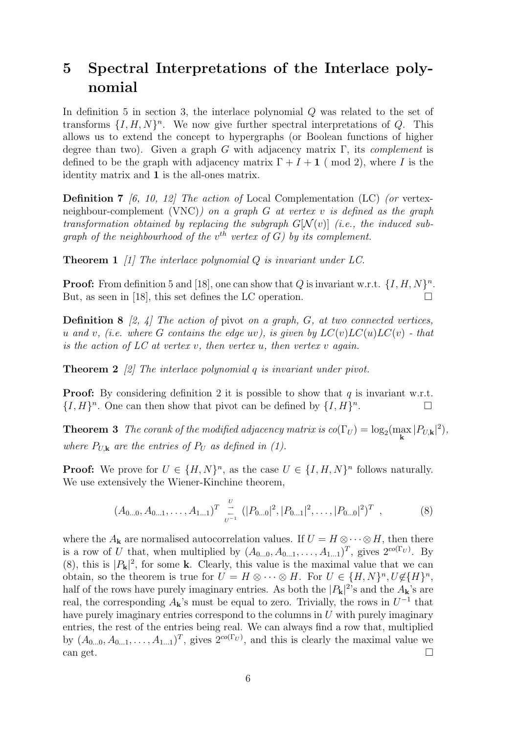# 5 Spectral Interpretations of the Interlace polynomial

In definition 5 in section 3, the interlace polynomial Q was related to the set of transforms  $\{I, H, N\}$ <sup>n</sup>. We now give further spectral interpretations of Q. This allows us to extend the concept to hypergraphs (or Boolean functions of higher degree than two). Given a graph G with adjacency matrix  $\Gamma$ , its *complement* is defined to be the graph with adjacency matrix  $\Gamma + I + 1$  (mod 2), where I is the identity matrix and 1 is the all-ones matrix.

**Definition 7** [6, 10, 12] The action of Local Complementation (LC) (or vertexneighbour-complement (VNC)) on a graph  $G$  at vertex v is defined as the graph transformation obtained by replacing the subgraph  $G[N(v)]$  (i.e., the induced subgraph of the neighbourhood of the  $v^{th}$  vertex of G) by its complement.

**Theorem 1** [1] The interlace polynomial  $Q$  is invariant under  $LC$ .

**Proof:** From definition 5 and [18], one can show that Q is invariant w.r.t.  $\{I, H, N\}^n$ . But, as seen in [18], this set defines the LC operation.

**Definition 8** [2, 4] The action of pivot on a graph,  $G$ , at two connected vertices, u and v, (i.e. where G contains the edge uv), is given by  $LC(v)LC(u)LC(v)$  - that is the action of  $LC$  at vertex v, then vertex u, then vertex v again.

**Theorem 2** [2] The interlace polynomial q is invariant under pivot.

**Proof:** By considering definition 2 it is possible to show that  $q$  is invariant w.r.t.  $\{I, H\}^n$ . One can then show that pivot can be defined by  $\{I, H\}^n$ . — Правите и производите в производите в собстании и производите в собстании и производите и производите и пр<br>В собстании и производите в собстании и производите в собстании и производите в собстании и производите и прои

**Theorem 3** The corank of the modified adjacency matrix is  $co(\Gamma_U) = log_2(\max_{\mathbf{k}} |P_{U,\mathbf{k}}|^2)$ , where  $P_{U,k}$  are the entries of  $P_U$  as defined in (1).

**Proof:** We prove for  $U \in \{H, N\}^n$ , as the case  $U \in \{I, H, N\}^n$  follows naturally. We use extensively the Wiener-Kinchine theorem,

$$
(A_{0...0}, A_{0...1}, \ldots, A_{1...1})^T \underset{U^{-1}}{\overset{U}{\rightleftharpoons}} (|P_{0...0}|^2, |P_{0...1}|^2, \ldots, |P_{0...0}|^2)^T , \qquad (8)
$$

where the  $A_k$  are normalised autocorrelation values. If  $U = H \otimes \cdots \otimes H$ , then there is a row of U that, when multiplied by  $(A_{0...0}, A_{0...1}, \ldots, A_{1...1})^T$ , gives  $2^{co(\Gamma_U)}$ . By (8), this is  $|P_{\mathbf{k}}|^2$ , for some k. Clearly, this value is the maximal value that we can obtain, so the theorem is true for  $U = H \otimes \cdots \otimes H$ . For  $U \in \{H, N\}^n, U \notin \{H\}^n$ , half of the rows have purely imaginary entries. As both the  $|P_{\bf k}|^2$ 's and the  $A_{\bf k}$ 's are real, the corresponding  $A_{\mathbf{k}}$ 's must be equal to zero. Trivially, the rows in  $U^{-1}$  that have purely imaginary entries correspond to the columns in  $U$  with purely imaginary entries, the rest of the entries being real. We can always find a row that, multiplied by  $(A_{0...0}, A_{0...1}, \ldots, A_{1...1})^T$ , gives  $2^{\text{co}(\Gamma_U)}$ , and this is clearly the maximal value we can get.  $\Box$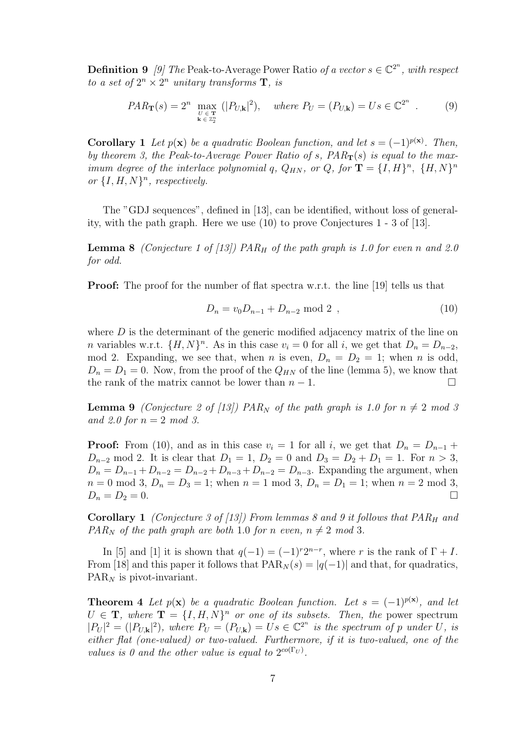**Definition 9** [9] The Peak-to-Average Power Ratio of a vector  $s \in \mathbb{C}^{2^n}$ , with respect to a set of  $2^n \times 2^n$  unitary transforms **T**, is

$$
PAR_{\mathbf{T}}(s) = 2^n \max_{\substack{U \in \mathbf{T} \\ \mathbf{k} \in \mathbb{Z}_2^n}} (|P_{U,\mathbf{k}}|^2), \quad \text{where } P_U = (P_{U,\mathbf{k}}) = Us \in \mathbb{C}^{2^n} . \tag{9}
$$

**Corollary 1** Let  $p(x)$  be a quadratic Boolean function, and let  $s = (-1)^{p(x)}$ . Then, by theorem 3, the Peak-to-Average Power Ratio of s,  $PAR_T(s)$  is equal to the maximum degree of the interlace polynomial q,  $Q_{HN}$ , or  $Q$ , for  $\mathbf{T} = \{I, H\}^n$ ,  $\{H, N\}^n$ or  $\{I, H, N\}^n$ , respectively.

The "GDJ sequences", defined in [13], can be identified, without loss of generality, with the path graph. Here we use (10) to prove Conjectures 1 - 3 of [13].

**Lemma 8** (Conjecture 1 of [13]) PAR<sub>H</sub> of the path graph is 1.0 for even n and 2.0 for odd.

Proof: The proof for the number of flat spectra w.r.t. the line [19] tells us that

$$
D_n = v_0 D_{n-1} + D_{n-2} \text{ mod } 2 \tag{10}
$$

where  $D$  is the determinant of the generic modified adjacency matrix of the line on *n* variables w.r.t.  $\{H, N\}^n$ . As in this case  $v_i = 0$  for all *i*, we get that  $D_n = D_{n-2}$ , mod 2. Expanding, we see that, when n is even,  $D_n = D_2 = 1$ ; when n is odd,  $D_n = D_1 = 0$ . Now, from the proof of the  $Q_{HN}$  of the line (lemma 5), we know that the rank of the matrix cannot be lower than  $n-1$ .

**Lemma 9** (Conjecture 2 of [13]) PAR<sub>N</sub> of the path graph is 1.0 for  $n \neq 2$  mod 3 and 2.0 for  $n = 2 \mod 3$ .

**Proof:** From (10), and as in this case  $v_i = 1$  for all i, we get that  $D_n = D_{n-1}$  +  $D_{n-2}$  mod 2. It is clear that  $D_1 = 1$ ,  $D_2 = 0$  and  $D_3 = D_2 + D_1 = 1$ . For  $n > 3$ ,  $D_n = D_{n-1} + D_{n-2} = D_{n-2} + D_{n-3} + D_{n-2} = D_{n-3}$ . Expanding the argument, when  $n = 0 \text{ mod } 3$ ,  $D_n = D_3 = 1$ ; when  $n = 1 \text{ mod } 3$ ,  $D_n = D_1 = 1$ ; when  $n = 2 \text{ mod } 3$ ,  $D_n = D_2 = 0.$ 

**Corollary 1** (Conjecture 3 of [13]) From lemmas 8 and 9 it follows that  $PAR_H$  and  $PAR_N$  of the path graph are both 1.0 for n even,  $n \neq 2 \mod 3$ .

In [5] and [1] it is shown that  $q(-1) = (-1)^{r}2^{n-r}$ , where r is the rank of  $\Gamma + I$ . From [18] and this paper it follows that  $PAR_N(s) = |q(-1)|$  and that, for quadratics,  $PAR_N$  is pivot-invariant.

**Theorem 4** Let  $p(x)$  be a quadratic Boolean function. Let  $s = (-1)^{p(x)}$ , and let  $U \in \mathbf{T}$ , where  $\mathbf{T} = \{I, H, N\}^n$  or one of its subsets. Then, the power spectrum  $|P_U|^2 = (|P_{U,\mathbf{k}}|^2)$ , where  $P_U = (P_{U,\mathbf{k}}) = Us \in \mathbb{C}^{2^n}$  is the spectrum of p under U, is either flat (one-valued) or two-valued. Furthermore, if it is two-valued, one of the values is 0 and the other value is equal to  $2^{co(\Gamma_U)}$ .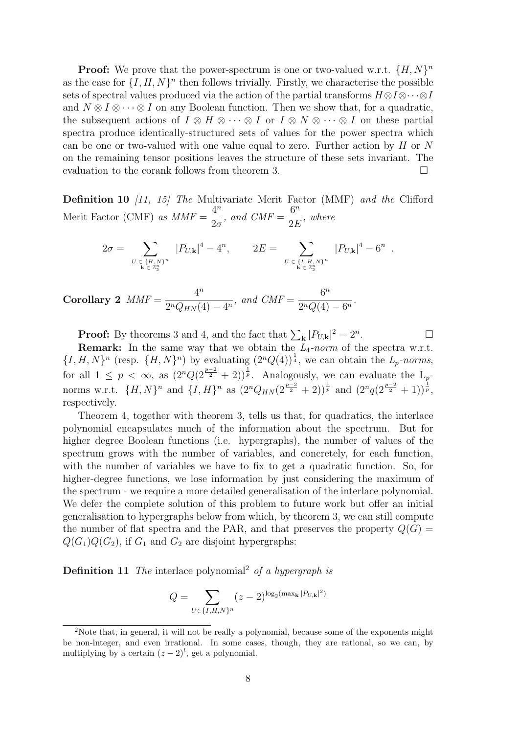**Proof:** We prove that the power-spectrum is one or two-valued w.r.t.  $\{H, N\}^n$ as the case for  $\{I, H, N\}^n$  then follows trivially. Firstly, we characterise the possible sets of spectral values produced via the action of the partial transforms  $H \otimes I \otimes \cdots \otimes I$ and  $N \otimes I \otimes \cdots \otimes I$  on any Boolean function. Then we show that, for a quadratic, the subsequent actions of  $I \otimes H \otimes \cdots \otimes I$  or  $I \otimes N \otimes \cdots \otimes I$  on these partial spectra produce identically-structured sets of values for the power spectra which can be one or two-valued with one value equal to zero. Further action by  $H$  or  $N$ on the remaining tensor positions leaves the structure of these sets invariant. The evaluation to the corank follows from theorem 3.

**Definition 10** [11, 15] The Multivariate Merit Factor (MMF) and the Clifford Merit Factor (CMF) as  $MMF =$  $4^n$  $2\sigma$ , and  $CMF =$  $6^n$ 2E , where

$$
2\sigma = \sum_{\substack{U \in \{H, N\}^n \\ \mathbf{k} \in \mathbb{Z}_2^n}} |P_{U, \mathbf{k}}|^4 - 4^n, \qquad 2E = \sum_{\substack{U \in \{I, H, N\}^n \\ \mathbf{k} \in \mathbb{Z}_2^n}} |P_{U, \mathbf{k}}|^4 - 6^n.
$$

Corollary 2  $MMF =$  $4^n$  $\frac{1}{2^n Q_{HN}(4) - 4^n}$ , and  $CMF =$  $6^n$  $\frac{6}{2^nQ(4)-6^n}.$ 

**Proof:** By theorems 3 and 4, and the fact that  $\sum_{\mathbf{k}} |P_{U,\mathbf{k}}|^2 = 2^n$ . — Первый просто просто просто просто просто просто просто просто просто просто просто просто просто просто п<br>В 1990 году стала просто просто просто просто просто просто просто просто просто просто просто просто просто п

**Remark:** In the same way that we obtain the  $L_4$ -norm of the spectra w.r.t.  $\{I, H, N\}^n$  (resp.  $\{H, N\}^n$ ) by evaluating  $(2^n Q(4))^{\frac{1}{4}}$ , we can obtain the  $L_p$ -norms, for all  $1 \leq p \leq \infty$ , as  $(2^n Q(2^{\frac{p-2}{2}} + 2))^{\frac{1}{p}}$ . Analogously, we can evaluate the  $L_p$ norms w.r.t.  $\{H, N\}^n$  and  $\{I, H\}^n$  as  $(2^n Q_{HN} (2^{\frac{p-2}{2}} + 2))^{\frac{1}{p}}$  and  $(2^n q (2^{\frac{p-2}{2}} + 1))^{\frac{1}{p}}$ , respectively.

Theorem 4, together with theorem 3, tells us that, for quadratics, the interlace polynomial encapsulates much of the information about the spectrum. But for higher degree Boolean functions (i.e. hypergraphs), the number of values of the spectrum grows with the number of variables, and concretely, for each function, with the number of variables we have to fix to get a quadratic function. So, for higher-degree functions, we lose information by just considering the maximum of the spectrum - we require a more detailed generalisation of the interlace polynomial. We defer the complete solution of this problem to future work but offer an initial generalisation to hypergraphs below from which, by theorem 3, we can still compute the number of flat spectra and the PAR, and that preserves the property  $Q(G)$  =  $Q(G_1)Q(G_2)$ , if  $G_1$  and  $G_2$  are disjoint hypergraphs:

**Definition 11** The interlace polynomial<sup>2</sup> of a hypergraph is

$$
Q = \sum_{U \in \{I, H, N\}^n} (z - 2)^{\log_2(\max_{\mathbf{k}} |P_{U, \mathbf{k}}|^2)}
$$

<sup>2</sup>Note that, in general, it will not be really a polynomial, because some of the exponents might be non-integer, and even irrational. In some cases, though, they are rational, so we can, by multiplying by a certain  $(z - 2)^l$ , get a polynomial.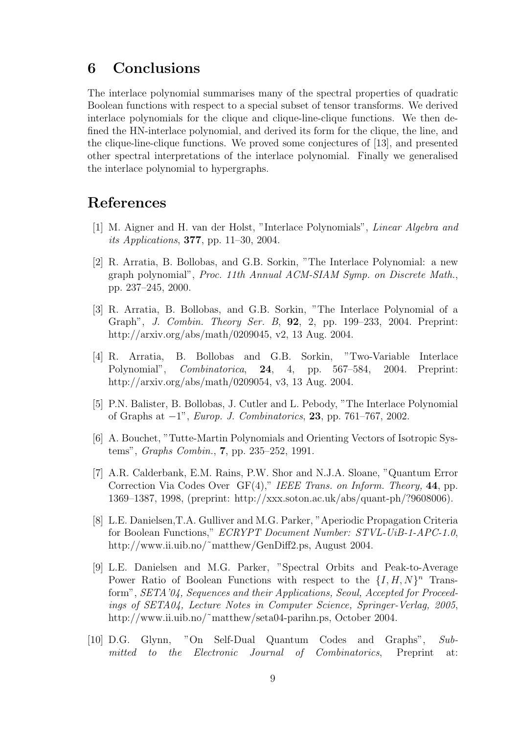## 6 Conclusions

The interlace polynomial summarises many of the spectral properties of quadratic Boolean functions with respect to a special subset of tensor transforms. We derived interlace polynomials for the clique and clique-line-clique functions. We then defined the HN-interlace polynomial, and derived its form for the clique, the line, and the clique-line-clique functions. We proved some conjectures of [13], and presented other spectral interpretations of the interlace polynomial. Finally we generalised the interlace polynomial to hypergraphs.

### References

- [1] M. Aigner and H. van der Holst, "Interlace Polynomials", Linear Algebra and *its Applications*, **377**, pp. 11–30, 2004.
- [2] R. Arratia, B. Bollobas, and G.B. Sorkin, "The Interlace Polynomial: a new graph polynomial", Proc. 11th Annual ACM-SIAM Symp. on Discrete Math., pp. 237–245, 2000.
- [3] R. Arratia, B. Bollobas, and G.B. Sorkin, "The Interlace Polynomial of a Graph", J. Combin. Theory Ser. B, 92, 2, pp. 199–233, 2004. Preprint: http://arxiv.org/abs/math/0209045, v2, 13 Aug. 2004.
- [4] R. Arratia, B. Bollobas and G.B. Sorkin, "Two-Variable Interlace Polynomial", Combinatorica, 24, 4, pp. 567–584, 2004. Preprint: http://arxiv.org/abs/math/0209054, v3, 13 Aug. 2004.
- [5] P.N. Balister, B. Bollobas, J. Cutler and L. Pebody, "The Interlace Polynomial of Graphs at  $-1$ ", *Europ. J. Combinatorics*, 23, pp. 761–767, 2002.
- [6] A. Bouchet, "Tutte-Martin Polynomials and Orienting Vectors of Isotropic Systems", Graphs Combin., 7, pp. 235–252, 1991.
- [7] A.R. Calderbank, E.M. Rains, P.W. Shor and N.J.A. Sloane, "Quantum Error Correction Via Codes Over GF(4)," IEEE Trans. on Inform. Theory, 44, pp. 1369–1387, 1998, (preprint: http://xxx.soton.ac.uk/abs/quant-ph/?9608006).
- [8] L.E. Danielsen,T.A. Gulliver and M.G. Parker, "Aperiodic Propagation Criteria for Boolean Functions," ECRYPT Document Number: STVL-UiB-1-APC-1.0, http://www.ii.uib.no/~matthew/GenDiff2.ps, August 2004.
- [9] L.E. Danielsen and M.G. Parker, "Spectral Orbits and Peak-to-Average Power Ratio of Boolean Functions with respect to the  $\{I, H, N\}^n$  Transform", SETA'04, Sequences and their Applications, Seoul, Accepted for Proceedings of SETA04, Lecture Notes in Computer Science, Springer-Verlag, 2005, http://www.ii.uib.no/~matthew/seta04-parihn.ps, October 2004.
- [10] D.G. Glynn, "On Self-Dual Quantum Codes and Graphs", Submitted to the Electronic Journal of Combinatorics, Preprint at: